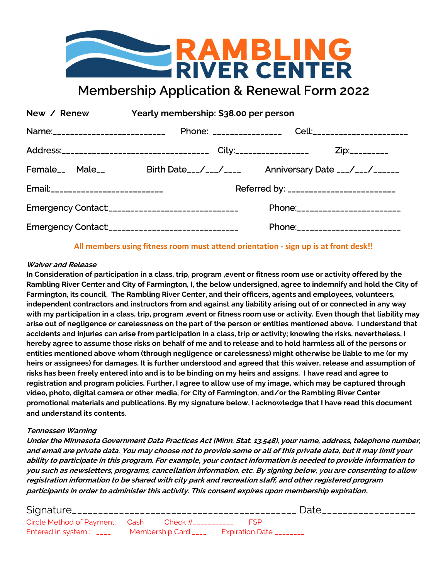

Membership Application & Renewal Form 2022

| New / Renew                        | Yearly membership: \$38.00 per person              |                                                                               |  |  |  |
|------------------------------------|----------------------------------------------------|-------------------------------------------------------------------------------|--|--|--|
| Name:___________________________   |                                                    |                                                                               |  |  |  |
|                                    |                                                    | Address:________________________________ City:_________________ Zip:_________ |  |  |  |
|                                    |                                                    | Female__ Male__ Birth Date__/__/____ Anniversary Date ___/___/_____           |  |  |  |
| Email:____________________________ | Referred by: _________________________             |                                                                               |  |  |  |
|                                    | Emergency Contact:_______________________________  | Phone:________________________                                                |  |  |  |
|                                    | Emergency Contact:________________________________ | Phone:_________________________                                               |  |  |  |

### All members using fitness room must attend orientation - sign up is at front desk!!

### Waiver and Release

In Consideration of participation in a class, trip, program ,event or fitness room use or activity offered by the Rambling River Center and City of Farmington, I, the below undersigned, agree to indemnify and hold the City of Farmington, its council, The Rambling River Center, and their officers, agents and employees, volunteers, independent contractors and instructors from and against any liability arising out of or connected in any way with my participation in a class, trip, program ,event or fitness room use or activity. Even though that liability may arise out of negligence or carelessness on the part of the person or entities mentioned above. I understand that accidents and injuries can arise from participation in a class, trip or activity; knowing the risks, nevertheless, I hereby agree to assume those risks on behalf of me and to release and to hold harmless all of the persons or entities mentioned above whom (through negligence or carelessness) might otherwise be liable to me (or my heirs or assignees) for damages. It is further understood and agreed that this waiver, release and assumption of risks has been freely entered into and is to be binding on my heirs and assigns. I have read and agree to registration and program policies. Further, I agree to allow use of my image, which may be captured through video, photo, digital camera or other media, for City of Farmington, and/or the Rambling River Center promotional materials and publications. By my signature below, I acknowledge that I have read this document and understand its contents.

### Tennessen Warning

Under the Minnesota Government Data Practices Act (Minn. Stat. 13.548), your name, address, telephone number, and email are private data. You may choose not to provide some or all of this private data, but it may limit your ability to participate in this program. For example, your contact information is needed to provide information to you such as newsletters, programs, cancellation information, etc. By signing below, you are consenting to allow registration information to be shared with city park and recreation staff, and other registered program participants in order to administer this activity. This consent expires upon membership expiration.

|                                                                                  |  | Date |
|----------------------------------------------------------------------------------|--|------|
| Circle Method of Payment: Cash Check #____________ FSP                           |  |      |
| Entered in system: _________Membership Card:_________Expiration Date ___________ |  |      |